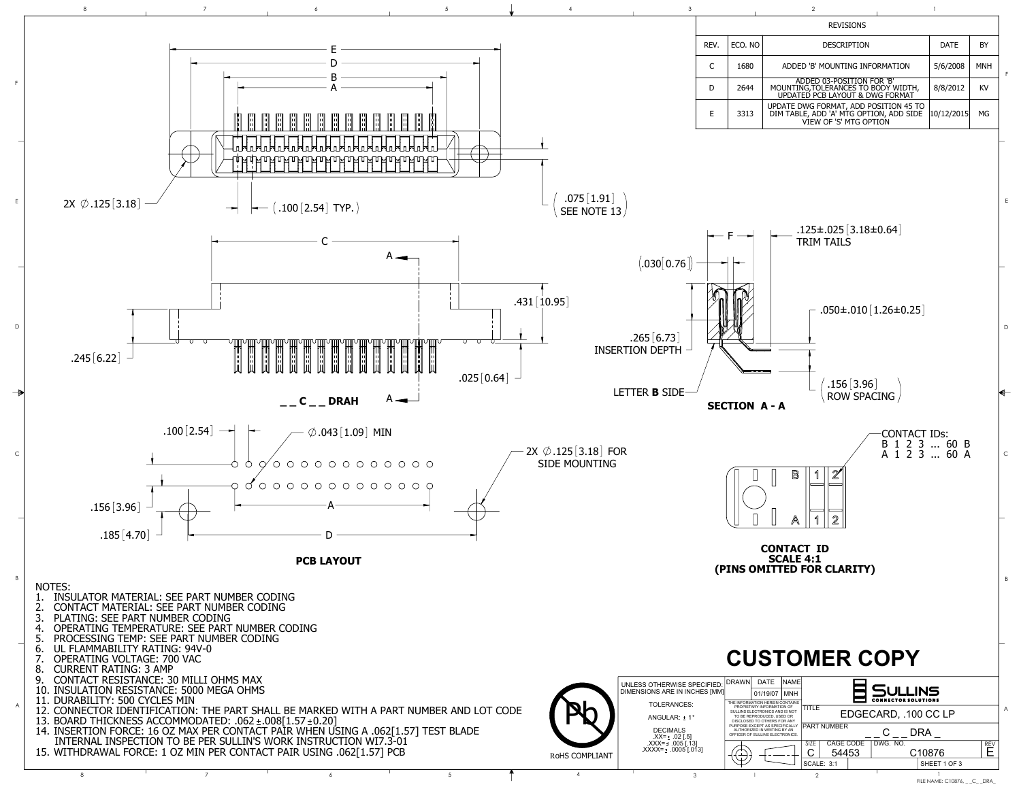

FILE NAME: C10876, \_ \_C\_ \_DRA\_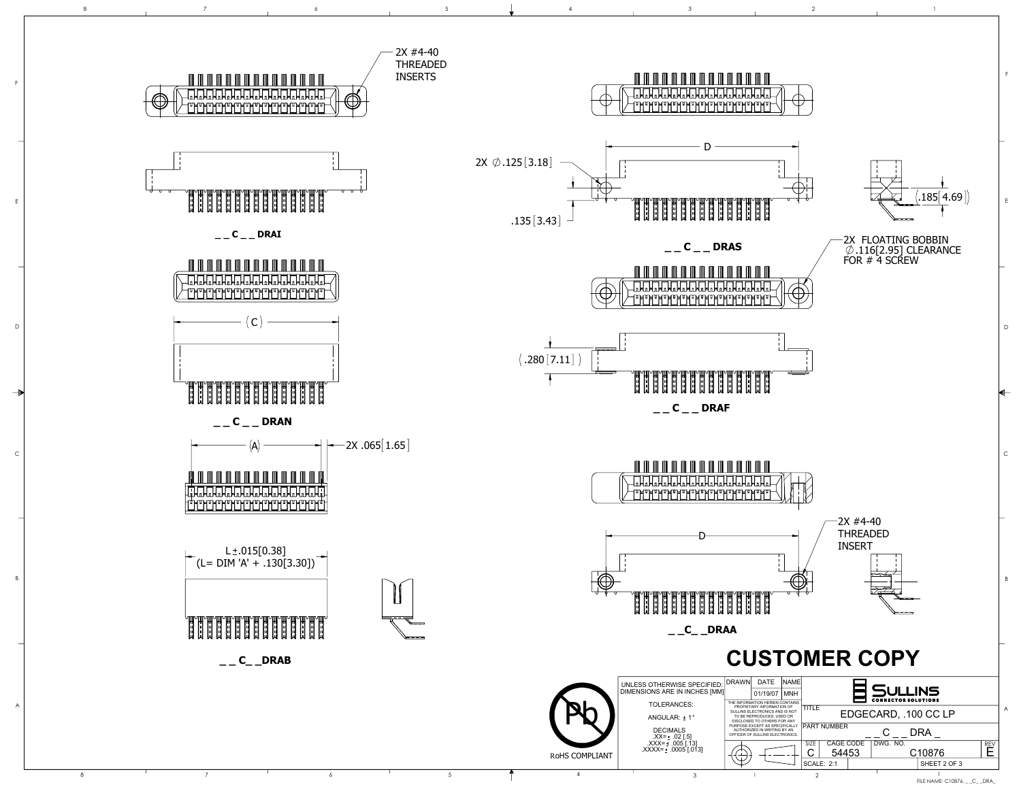

FILE NAME: C10876, \_ \_C\_ \_DRA\_